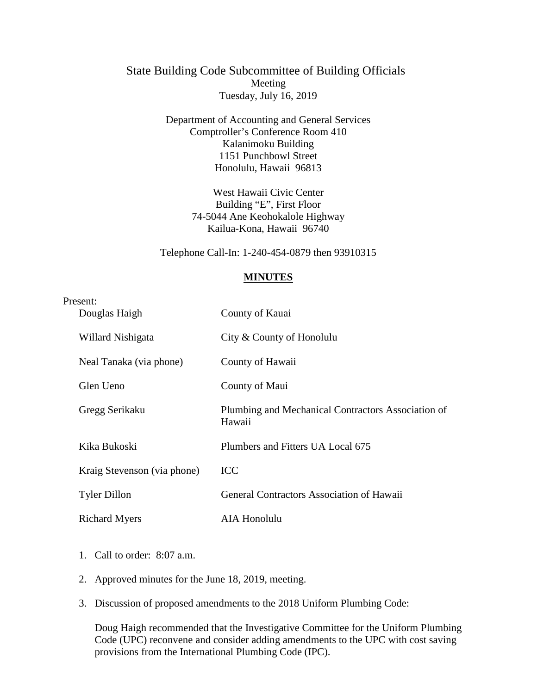## State Building Code Subcommittee of Building Officials Meeting Tuesday, July 16, 2019

Department of Accounting and General Services Comptroller's Conference Room 410 Kalanimoku Building 1151 Punchbowl Street Honolulu, Hawaii 96813

> West Hawaii Civic Center Building "E", First Floor 74-5044 Ane Keohokalole Highway Kailua-Kona, Hawaii 96740

Telephone Call-In: 1-240-454-0879 then 93910315

## **MINUTES**

| Present:                    |                                                              |
|-----------------------------|--------------------------------------------------------------|
| Douglas Haigh               | County of Kauai                                              |
| Willard Nishigata           | City & County of Honolulu                                    |
| Neal Tanaka (via phone)     | County of Hawaii                                             |
| Glen Ueno                   | County of Maui                                               |
| Gregg Serikaku              | Plumbing and Mechanical Contractors Association of<br>Hawaii |
| Kika Bukoski                | Plumbers and Fitters UA Local 675                            |
| Kraig Stevenson (via phone) | <b>ICC</b>                                                   |
| <b>Tyler Dillon</b>         | <b>General Contractors Association of Hawaii</b>             |
| <b>Richard Myers</b>        | <b>AIA Honolulu</b>                                          |

- 1. Call to order: 8:07 a.m.
- 2. Approved minutes for the June 18, 2019, meeting.
- 3. Discussion of proposed amendments to the 2018 Uniform Plumbing Code:

Doug Haigh recommended that the Investigative Committee for the Uniform Plumbing Code (UPC) reconvene and consider adding amendments to the UPC with cost saving provisions from the International Plumbing Code (IPC).